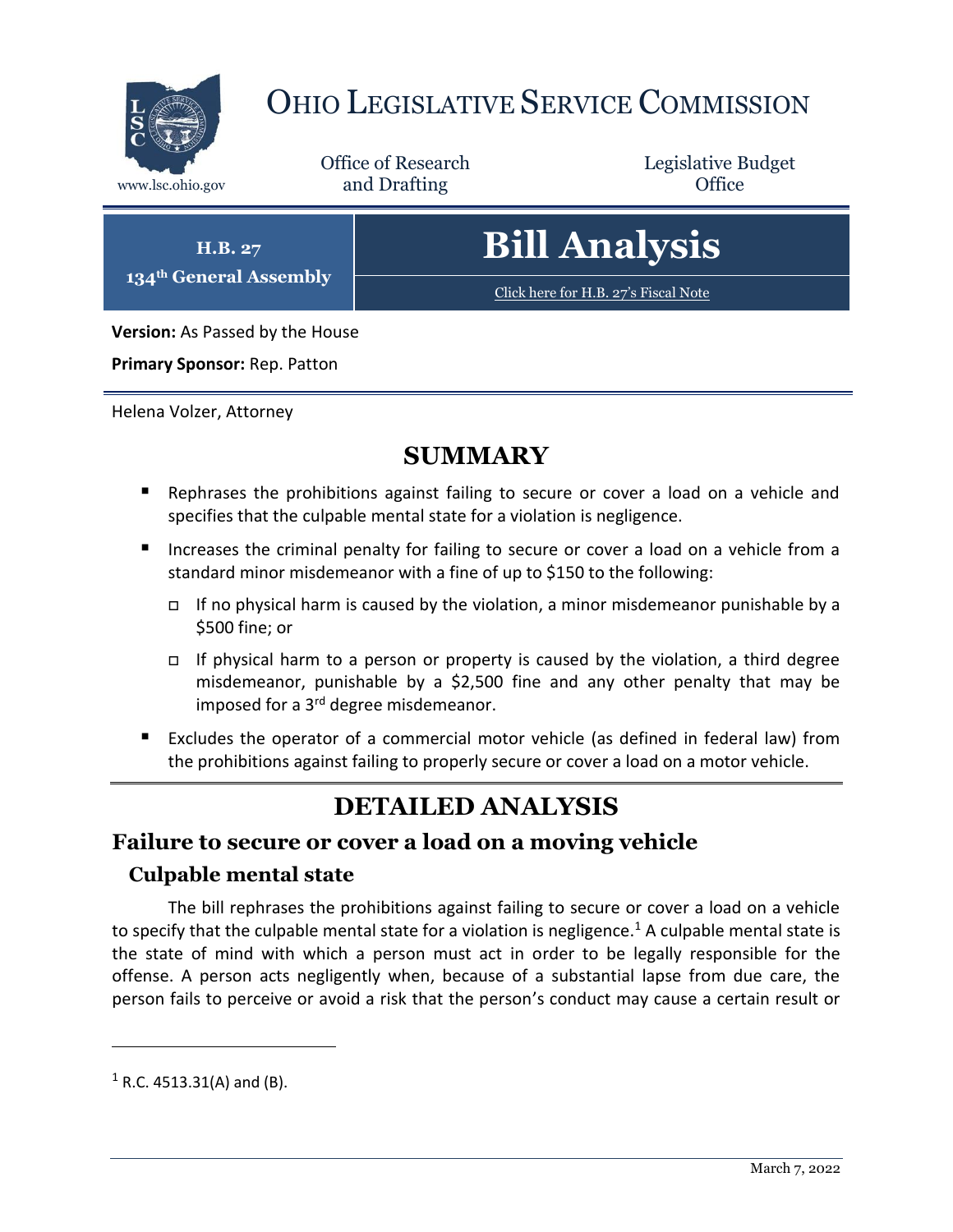

## OHIO LEGISLATIVE SERVICE COMMISSION

Office of Research www.lsc.ohio.gov **and Drafting Office** 

Legislative Budget

**H.B. 27 134th General Assembly**

# **Bill Analysis**

[Click here for H.B. 27](https://www.legislature.ohio.gov/legislation/legislation-documents?id=GA134-HB-27)'s Fiscal Note

**Version:** As Passed by the House

**Primary Sponsor:** Rep. Patton

Helena Volzer, Attorney

## **SUMMARY**

- Rephrases the prohibitions against failing to secure or cover a load on a vehicle and specifies that the culpable mental state for a violation is negligence.
- Increases the criminal penalty for failing to secure or cover a load on a vehicle from a standard minor misdemeanor with a fine of up to \$150 to the following:
	- If no physical harm is caused by the violation, a minor misdemeanor punishable by a \$500 fine; or
	- If physical harm to a person or property is caused by the violation, a third degree misdemeanor, punishable by a \$2,500 fine and any other penalty that may be imposed for a 3<sup>rd</sup> degree misdemeanor.
- Excludes the operator of a commercial motor vehicle (as defined in federal law) from the prohibitions against failing to properly secure or cover a load on a motor vehicle.

## **DETAILED ANALYSIS**

#### **Failure to secure or cover a load on a moving vehicle**

#### **Culpable mental state**

The bill rephrases the prohibitions against failing to secure or cover a load on a vehicle to specify that the culpable mental state for a violation is negligence.<sup>1</sup> A culpable mental state is the state of mind with which a person must act in order to be legally responsible for the offense. A person acts negligently when, because of a substantial lapse from due care, the person fails to perceive or avoid a risk that the person's conduct may cause a certain result or

 $1$  R.C. 4513.31(A) and (B).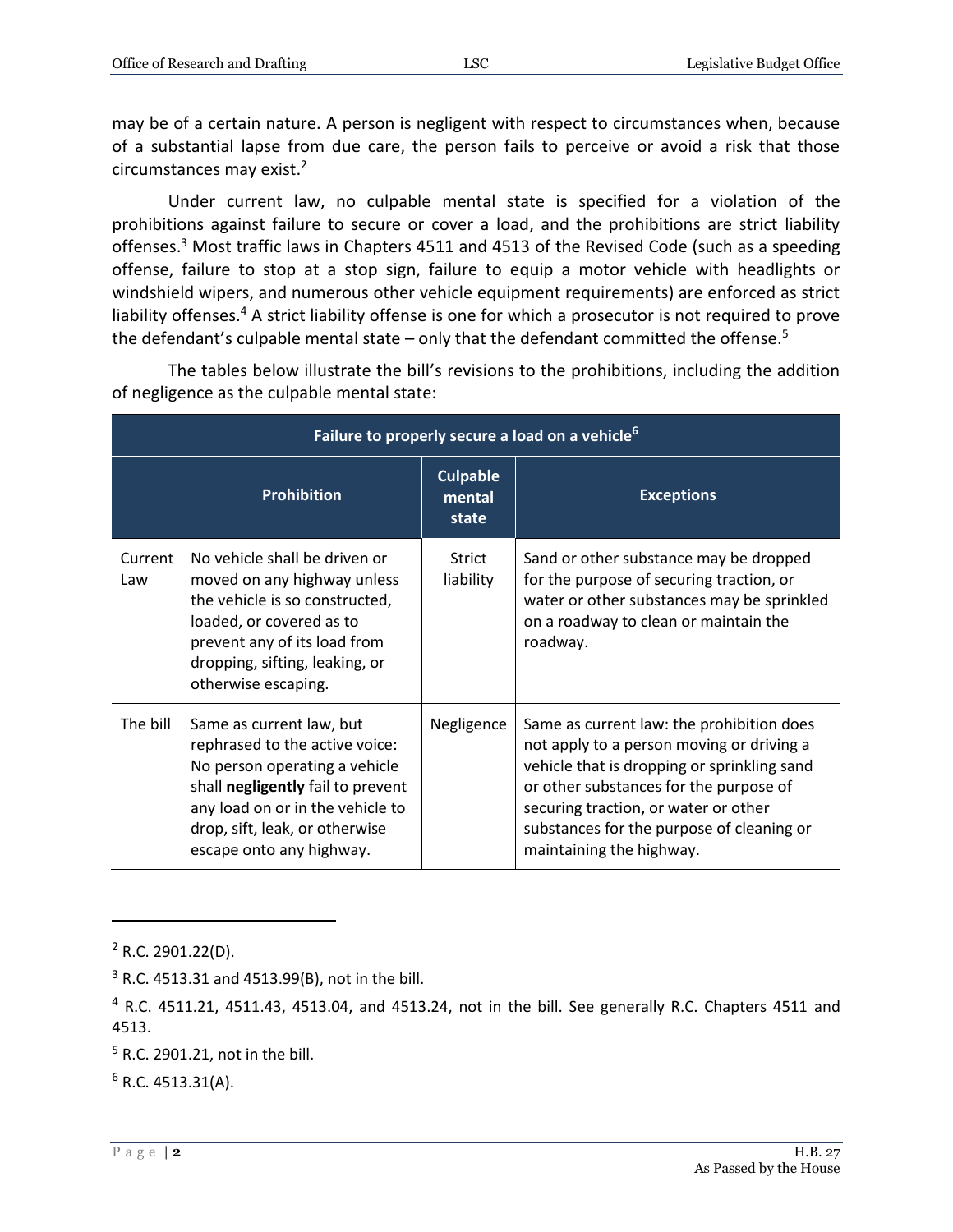may be of a certain nature. A person is negligent with respect to circumstances when, because of a substantial lapse from due care, the person fails to perceive or avoid a risk that those circumstances may exist.<sup>2</sup>

Under current law, no culpable mental state is specified for a violation of the prohibitions against failure to secure or cover a load, and the prohibitions are strict liability offenses.<sup>3</sup> Most traffic laws in Chapters 4511 and 4513 of the Revised Code (such as a speeding offense, failure to stop at a stop sign, failure to equip a motor vehicle with headlights or windshield wipers, and numerous other vehicle equipment requirements) are enforced as strict liability offenses.<sup>4</sup> A strict liability offense is one for which a prosecutor is not required to prove the defendant's culpable mental state – only that the defendant committed the offense.<sup>5</sup>

**Failure to properly secure a load on a vehicle<sup>6</sup> Prohibition Culpable mental state Exceptions** Current Law No vehicle shall be driven or moved on any highway unless the vehicle is so constructed, loaded, or covered as to prevent any of its load from dropping, sifting, leaking, or otherwise escaping. Strict liability Sand or other substance may be dropped for the purpose of securing traction, or water or other substances may be sprinkled on a roadway to clean or maintain the roadway. The bill  $\vert$  Same as current law, but rephrased to the active voice: No person operating a vehicle shall **negligently** fail to prevent any load on or in the vehicle to drop, sift, leak, or otherwise escape onto any highway. Negligence  $\vert$  Same as current law: the prohibition does not apply to a person moving or driving a vehicle that is dropping or sprinkling sand or other substances for the purpose of securing traction, or water or other substances for the purpose of cleaning or maintaining the highway.

The tables below illustrate the bill's revisions to the prohibitions, including the addition of negligence as the culpable mental state:

 $2$  R.C. 2901.22(D).

 $3$  R.C. 4513.31 and 4513.99(B), not in the bill.

 $4$  R.C. 4511.21, 4511.43, 4513.04, and 4513.24, not in the bill. See generally R.C. Chapters 4511 and 4513.

 $5$  R.C. 2901.21, not in the bill.

 $6$  R.C. 4513.31(A).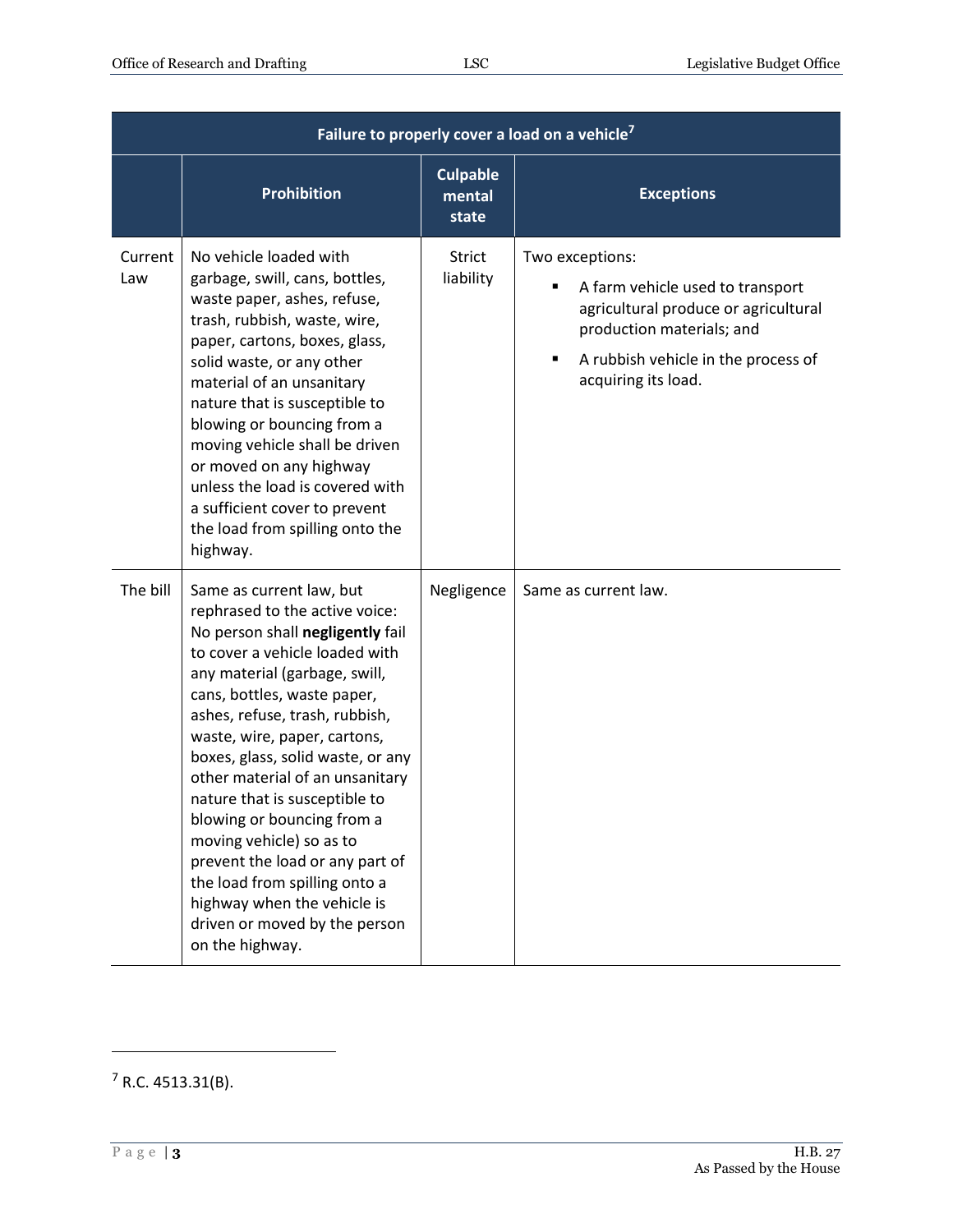| Failure to properly cover a load on a vehicle <sup>7</sup> |                                                                                                                                                                                                                                                                                                                                                                                                                                                                                                                                                                                              |                                    |                                                                                                                                                                                                          |  |  |
|------------------------------------------------------------|----------------------------------------------------------------------------------------------------------------------------------------------------------------------------------------------------------------------------------------------------------------------------------------------------------------------------------------------------------------------------------------------------------------------------------------------------------------------------------------------------------------------------------------------------------------------------------------------|------------------------------------|----------------------------------------------------------------------------------------------------------------------------------------------------------------------------------------------------------|--|--|
|                                                            | <b>Prohibition</b>                                                                                                                                                                                                                                                                                                                                                                                                                                                                                                                                                                           | <b>Culpable</b><br>mental<br>state | <b>Exceptions</b>                                                                                                                                                                                        |  |  |
| Current<br>Law                                             | No vehicle loaded with<br>garbage, swill, cans, bottles,<br>waste paper, ashes, refuse,<br>trash, rubbish, waste, wire,<br>paper, cartons, boxes, glass,<br>solid waste, or any other<br>material of an unsanitary<br>nature that is susceptible to<br>blowing or bouncing from a<br>moving vehicle shall be driven<br>or moved on any highway<br>unless the load is covered with<br>a sufficient cover to prevent<br>the load from spilling onto the<br>highway.                                                                                                                            | <b>Strict</b><br>liability         | Two exceptions:<br>A farm vehicle used to transport<br>agricultural produce or agricultural<br>production materials; and<br>A rubbish vehicle in the process of<br>$\blacksquare$<br>acquiring its load. |  |  |
| The bill                                                   | Same as current law, but<br>rephrased to the active voice:<br>No person shall negligently fail<br>to cover a vehicle loaded with<br>any material (garbage, swill,<br>cans, bottles, waste paper,<br>ashes, refuse, trash, rubbish,<br>waste, wire, paper, cartons,<br>boxes, glass, solid waste, or any<br>other material of an unsanitary<br>nature that is susceptible to<br>blowing or bouncing from a<br>moving vehicle) so as to<br>prevent the load or any part of<br>the load from spilling onto a<br>highway when the vehicle is<br>driven or moved by the person<br>on the highway. | Negligence                         | Same as current law.                                                                                                                                                                                     |  |  |

 $7$  R.C. 4513.31(B).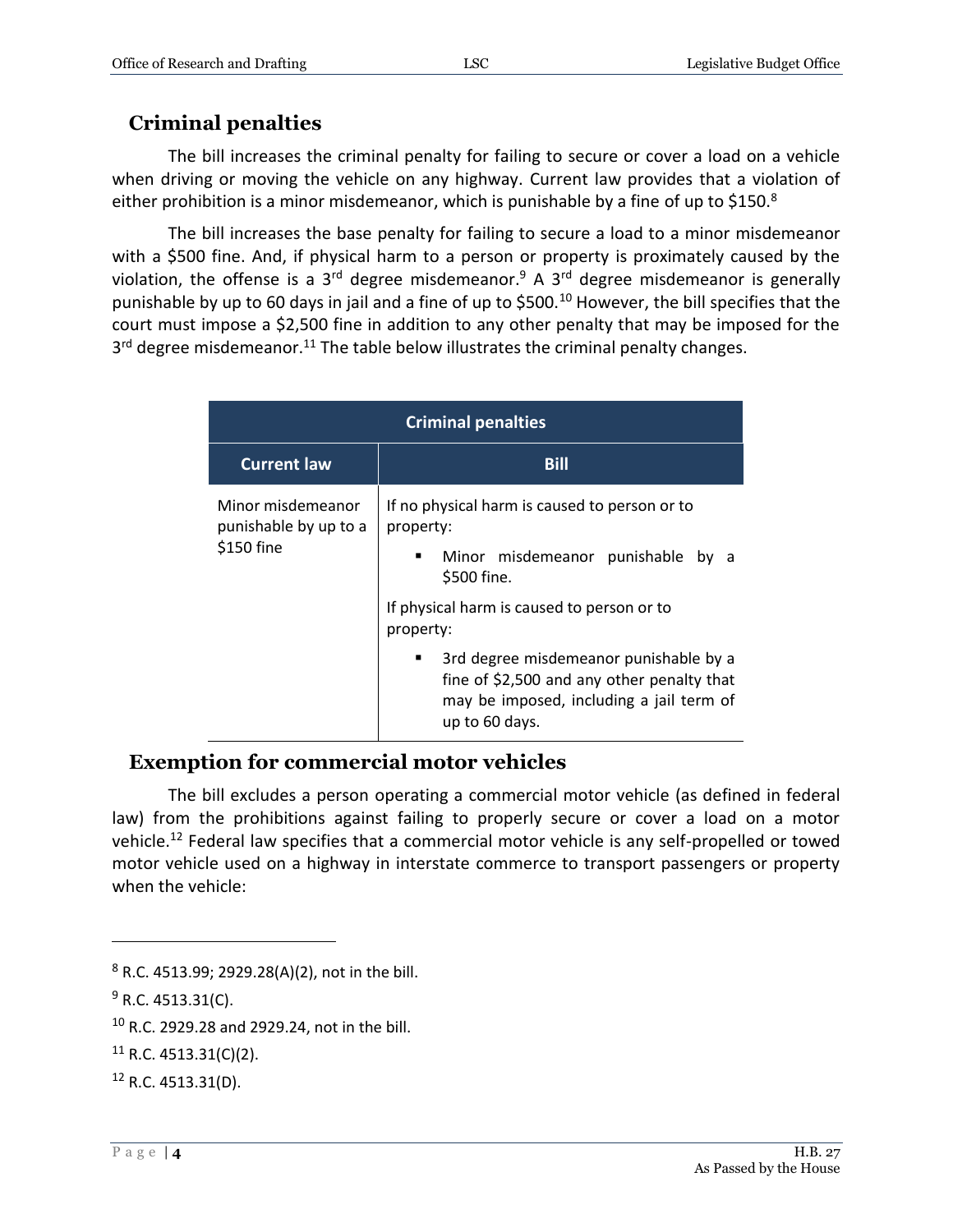#### **Criminal penalties**

The bill increases the criminal penalty for failing to secure or cover a load on a vehicle when driving or moving the vehicle on any highway. Current law provides that a violation of either prohibition is a minor misdemeanor, which is punishable by a fine of up to \$150. $8$ 

The bill increases the base penalty for failing to secure a load to a minor misdemeanor with a \$500 fine. And, if physical harm to a person or property is proximately caused by the violation, the offense is a  $3<sup>rd</sup>$  degree misdemeanor.<sup>9</sup> A  $3<sup>rd</sup>$  degree misdemeanor is generally punishable by up to 60 days in jail and a fine of up to \$500.<sup>10</sup> However, the bill specifies that the court must impose a \$2,500 fine in addition to any other penalty that may be imposed for the 3<sup>rd</sup> degree misdemeanor.<sup>11</sup> The table below illustrates the criminal penalty changes.

| <b>Criminal penalties</b>                                |                                                                                                                                                         |  |  |  |
|----------------------------------------------------------|---------------------------------------------------------------------------------------------------------------------------------------------------------|--|--|--|
| <b>Current law</b>                                       | <b>Bill</b>                                                                                                                                             |  |  |  |
| Minor misdemeanor<br>punishable by up to a<br>\$150 fine | If no physical harm is caused to person or to<br>property:<br>Minor misdemeanor punishable<br>$\blacksquare$<br>bv<br>\$500 fine.                       |  |  |  |
|                                                          | If physical harm is caused to person or to<br>property:                                                                                                 |  |  |  |
|                                                          | 3rd degree misdemeanor punishable by a<br>п<br>fine of \$2,500 and any other penalty that<br>may be imposed, including a jail term of<br>up to 60 days. |  |  |  |

#### **Exemption for commercial motor vehicles**

The bill excludes a person operating a commercial motor vehicle (as defined in federal law) from the prohibitions against failing to properly secure or cover a load on a motor vehicle.<sup>12</sup> Federal law specifies that a commercial motor vehicle is any self-propelled or towed motor vehicle used on a highway in interstate commerce to transport passengers or property when the vehicle:

<sup>8</sup> R.C. 4513.99; 2929.28(A)(2), not in the bill.

 $9$  R.C. 4513.31(C).

<sup>10</sup> R.C. 2929.28 and 2929.24, not in the bill.

 $11$  R.C. 4513.31(C)(2).

 $12$  R.C. 4513.31(D).